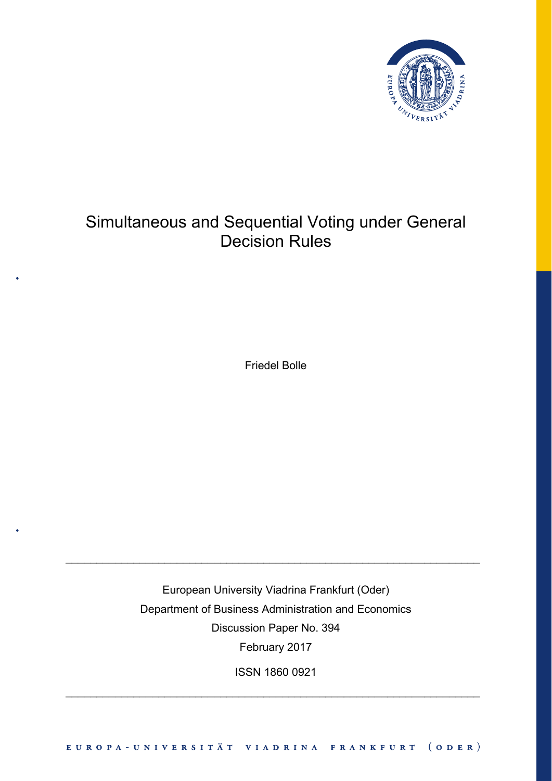

# Simultaneous and Sequential Voting under General Decision Rules

Friedel Bolle

European University Viadrina Frankfurt (Oder) Department of Business Administration and Economics Discussion Paper No. 394 February 2017

\_\_\_\_\_\_\_\_\_\_\_\_\_\_\_\_\_\_\_\_\_\_\_\_\_\_\_\_\_\_\_\_\_\_\_\_\_\_\_\_\_\_\_\_\_\_\_\_\_\_\_\_\_\_\_\_\_\_\_\_\_\_\_\_\_\_\_

ISSN 1860 0921

\_\_\_\_\_\_\_\_\_\_\_\_\_\_\_\_\_\_\_\_\_\_\_\_\_\_\_\_\_\_\_\_\_\_\_\_\_\_\_\_\_\_\_\_\_\_\_\_\_\_\_\_\_\_\_\_\_\_\_\_\_\_\_\_\_\_\_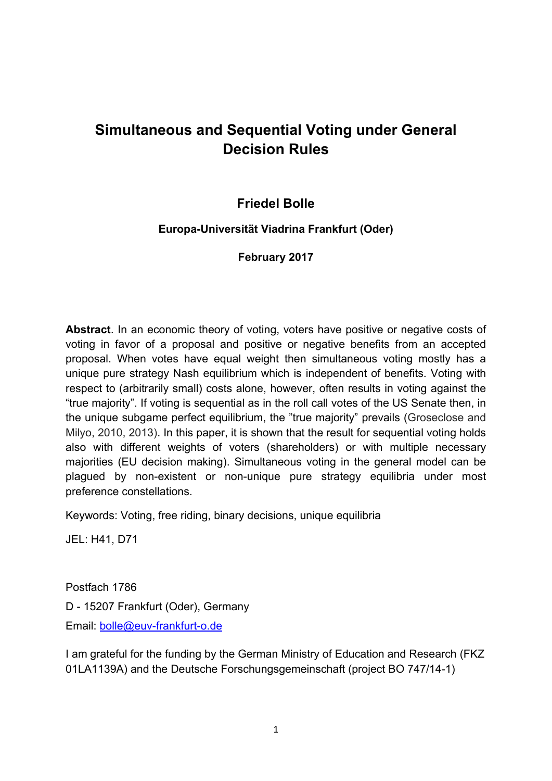## **Simultaneous and Sequential Voting under General Decision Rules**

## **Friedel Bolle**

## **Europa-Universität Viadrina Frankfurt (Oder)**

**February 2017** 

**Abstract**. In an economic theory of voting, voters have positive or negative costs of voting in favor of a proposal and positive or negative benefits from an accepted proposal. When votes have equal weight then simultaneous voting mostly has a unique pure strategy Nash equilibrium which is independent of benefits. Voting with respect to (arbitrarily small) costs alone, however, often results in voting against the "true majority". If voting is sequential as in the roll call votes of the US Senate then, in the unique subgame perfect equilibrium, the "true majority" prevails (Groseclose and Milyo, 2010, 2013). In this paper, it is shown that the result for sequential voting holds also with different weights of voters (shareholders) or with multiple necessary majorities (EU decision making). Simultaneous voting in the general model can be plagued by non-existent or non-unique pure strategy equilibria under most preference constellations.

Keywords: Voting, free riding, binary decisions, unique equilibria

JEL: H41, D71

Postfach 1786 D - 15207 Frankfurt (Oder), Germany Email: bolle@euv-frankfurt-o.de

I am grateful for the funding by the German Ministry of Education and Research (FKZ 01LA1139A) and the Deutsche Forschungsgemeinschaft (project BO 747/14-1)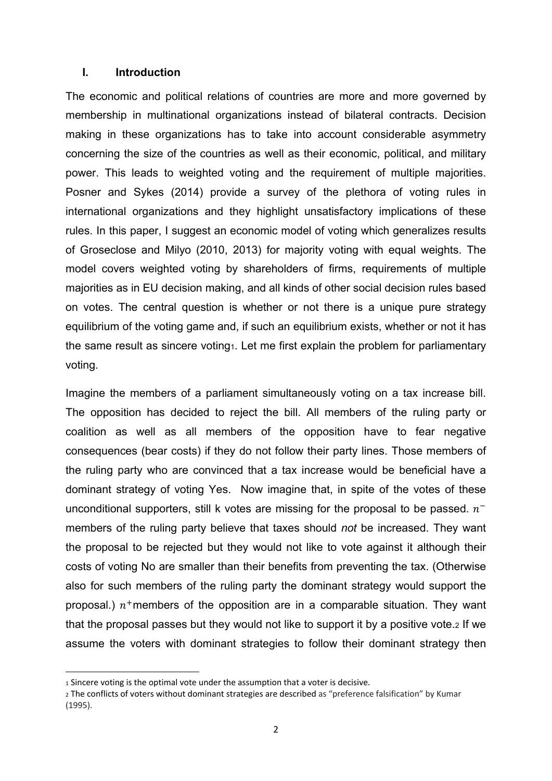## **I. Introduction**

The economic and political relations of countries are more and more governed by membership in multinational organizations instead of bilateral contracts. Decision making in these organizations has to take into account considerable asymmetry concerning the size of the countries as well as their economic, political, and military power. This leads to weighted voting and the requirement of multiple majorities. Posner and Sykes (2014) provide a survey of the plethora of voting rules in international organizations and they highlight unsatisfactory implications of these rules. In this paper, I suggest an economic model of voting which generalizes results of Groseclose and Milyo (2010, 2013) for majority voting with equal weights. The model covers weighted voting by shareholders of firms, requirements of multiple majorities as in EU decision making, and all kinds of other social decision rules based on votes. The central question is whether or not there is a unique pure strategy equilibrium of the voting game and, if such an equilibrium exists, whether or not it has the same result as sincere voting<sub>1</sub>. Let me first explain the problem for parliamentary voting.

Imagine the members of a parliament simultaneously voting on a tax increase bill. The opposition has decided to reject the bill. All members of the ruling party or coalition as well as all members of the opposition have to fear negative consequences (bear costs) if they do not follow their party lines. Those members of the ruling party who are convinced that a tax increase would be beneficial have a dominant strategy of voting Yes. Now imagine that, in spite of the votes of these unconditional supporters, still k votes are missing for the proposal to be passed.  $n^{-}$ members of the ruling party believe that taxes should *not* be increased. They want the proposal to be rejected but they would not like to vote against it although their costs of voting No are smaller than their benefits from preventing the tax. (Otherwise also for such members of the ruling party the dominant strategy would support the proposal.)  $n^+$ members of the opposition are in a comparable situation. They want that the proposal passes but they would not like to support it by a positive vote.2 If we assume the voters with dominant strategies to follow their dominant strategy then

<sup>1</sup> Sincere voting is the optimal vote under the assumption that a voter is decisive.

<sup>2</sup> The conflicts of voters without dominant strategies are described as "preference falsification" by Kumar (1995).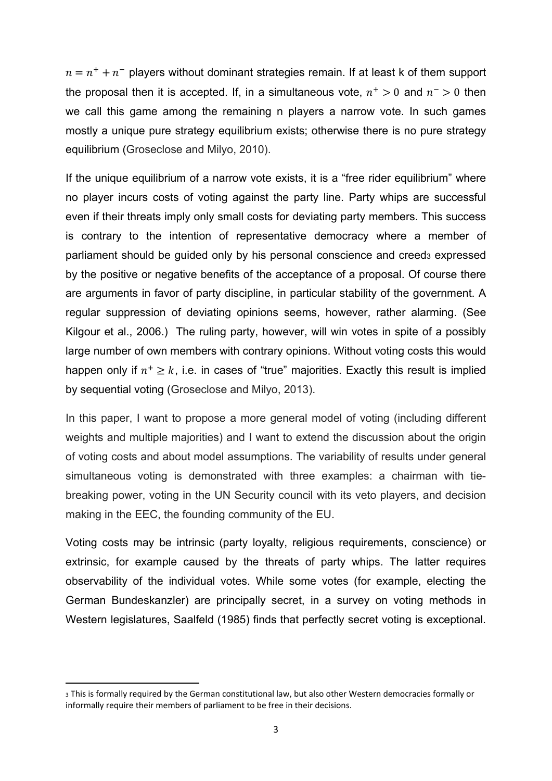$n = n^+ + n^-$  players without dominant strategies remain. If at least k of them support the proposal then it is accepted. If, in a simultaneous vote,  $n^+ > 0$  and  $n^- > 0$  then we call this game among the remaining n players a narrow vote. In such games mostly a unique pure strategy equilibrium exists; otherwise there is no pure strategy equilibrium (Groseclose and Milyo, 2010).

If the unique equilibrium of a narrow vote exists, it is a "free rider equilibrium" where no player incurs costs of voting against the party line. Party whips are successful even if their threats imply only small costs for deviating party members. This success is contrary to the intention of representative democracy where a member of parliament should be guided only by his personal conscience and creed<sub>3</sub> expressed by the positive or negative benefits of the acceptance of a proposal. Of course there are arguments in favor of party discipline, in particular stability of the government. A regular suppression of deviating opinions seems, however, rather alarming. (See Kilgour et al., 2006.) The ruling party, however, will win votes in spite of a possibly large number of own members with contrary opinions. Without voting costs this would happen only if  $n^+ \geq k$ , i.e. in cases of "true" majorities. Exactly this result is implied by sequential voting (Groseclose and Milyo, 2013).

In this paper, I want to propose a more general model of voting (including different weights and multiple majorities) and I want to extend the discussion about the origin of voting costs and about model assumptions. The variability of results under general simultaneous voting is demonstrated with three examples: a chairman with tiebreaking power, voting in the UN Security council with its veto players, and decision making in the EEC, the founding community of the EU.

Voting costs may be intrinsic (party loyalty, religious requirements, conscience) or extrinsic, for example caused by the threats of party whips. The latter requires observability of the individual votes. While some votes (for example, electing the German Bundeskanzler) are principally secret, in a survey on voting methods in Western legislatures, Saalfeld (1985) finds that perfectly secret voting is exceptional.

<sup>3</sup> This is formally required by the German constitutional law, but also other Western democracies formally or informally require their members of parliament to be free in their decisions.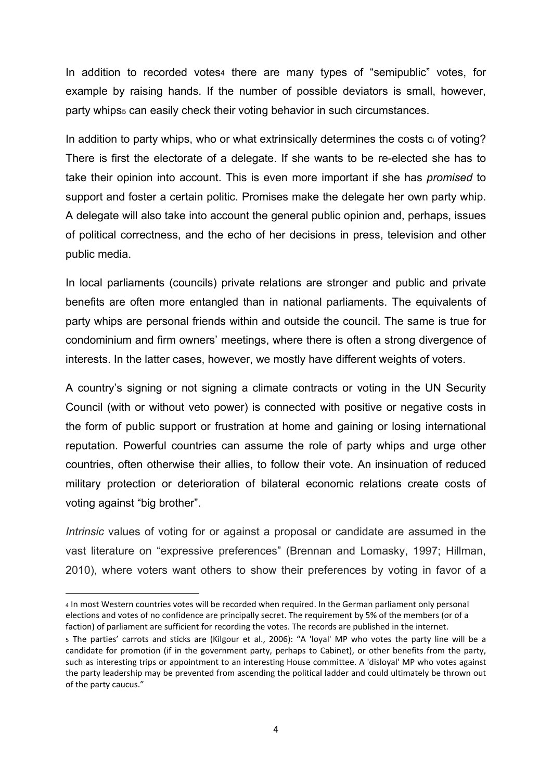In addition to recorded votes4 there are many types of "semipublic" votes, for example by raising hands. If the number of possible deviators is small, however, party whips5 can easily check their voting behavior in such circumstances.

In addition to party whips, who or what extrinsically determines the costs co of voting? There is first the electorate of a delegate. If she wants to be re-elected she has to take their opinion into account. This is even more important if she has *promised* to support and foster a certain politic. Promises make the delegate her own party whip. A delegate will also take into account the general public opinion and, perhaps, issues of political correctness, and the echo of her decisions in press, television and other public media.

In local parliaments (councils) private relations are stronger and public and private benefits are often more entangled than in national parliaments. The equivalents of party whips are personal friends within and outside the council. The same is true for condominium and firm owners' meetings, where there is often a strong divergence of interests. In the latter cases, however, we mostly have different weights of voters.

A country's signing or not signing a climate contracts or voting in the UN Security Council (with or without veto power) is connected with positive or negative costs in the form of public support or frustration at home and gaining or losing international reputation. Powerful countries can assume the role of party whips and urge other countries, often otherwise their allies, to follow their vote. An insinuation of reduced military protection or deterioration of bilateral economic relations create costs of voting against "big brother".

*Intrinsic* values of voting for or against a proposal or candidate are assumed in the vast literature on "expressive preferences" (Brennan and Lomasky, 1997; Hillman, 2010), where voters want others to show their preferences by voting in favor of a

<sup>4</sup> In most Western countries votes will be recorded when required. In the German parliament only personal elections and votes of no confidence are principally secret. The requirement by 5% of the members (or of a faction) of parliament are sufficient for recording the votes. The records are published in the internet.

<sup>5</sup> The parties' carrots and sticks are (Kilgour et al., 2006): "A 'loyal' MP who votes the party line will be a candidate for promotion (if in the government party, perhaps to Cabinet), or other benefits from the party, such as interesting trips or appointment to an interesting House committee. A 'disloyal' MP who votes against the party leadership may be prevented from ascending the political ladder and could ultimately be thrown out of the party caucus."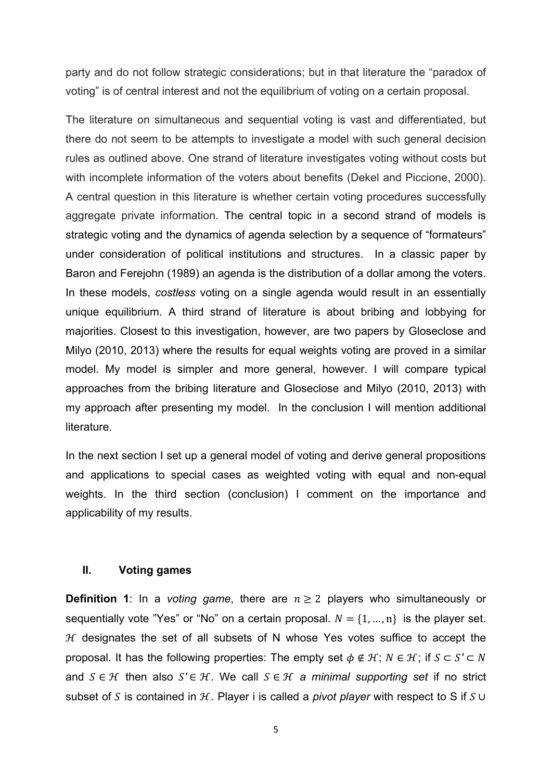party and do not follow strategic considerations; but in that literature the "paradox of voting" is of central interest and not the equilibrium of voting on a certain proposal.

The literature on simultaneous and sequential voting is vast and differentiated, but there do not seem to be attempts to investigate a model with such general decision rules as outlined above. One strand of literature investigates voting without costs but with incomplete information of the voters about benefits (Dekel and Piccione, 2000). A central question in this literature is whether certain voting procedures successfully aggregate private information. The central topic in a second strand of models is strategic voting and the dynamics of agenda selection by a sequence of "formateurs" under consideration of political institutions and structures. In a classic paper by Baron and Ferejohn (1989) an agenda is the distribution of a dollar among the voters. In these models, *costless* voting on a single agenda would result in an essentially unique equilibrium. A third strand of literature is about bribing and lobbying for majorities. Closest to this investigation, however, are two papers by Gloseclose and Milyo (2010, 2013) where the results for equal weights voting are proved in a similar model. My model is simpler and more general, however. I will compare typical approaches from the bribing literature and Gloseclose and Milyo (2010, 2013) with my approach after presenting my model. In the conclusion I will mention additional literature.

In the next section I set up a general model of voting and derive general propositions and applications to special cases as weighted voting with equal and non-equal weights. In the third section (conclusion) I comment on the importance and applicability of my results.

#### **II. Voting games**

**Definition 1**: In a *voting game*, there are  $n \geq 2$  players who simultaneously or sequentially vote "Yes" or "No" on a certain proposal.  $N = \{1, ..., n\}$  is the player set.  $H$  designates the set of all subsets of N whose Yes votes suffice to accept the proposal. It has the following properties: The empty set  $\phi \notin \mathcal{H}$ ;  $N \in \mathcal{H}$ ; if  $S \subset S' \subset N$ and  $S \in \mathcal{H}$  then also  $S' \in \mathcal{H}$ . We call  $S \in \mathcal{H}$  a minimal supporting set if no strict subset of S is contained in  $H$ . Player i is called a *pivot player* with respect to S if  $S \cup$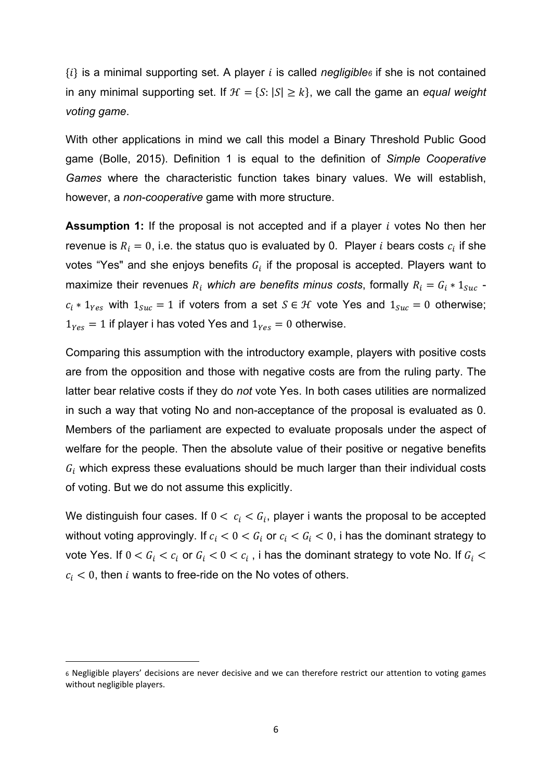$\{i\}$  is a minimal supporting set. A player i is called *negligible* if she is not contained in any minimal supporting set. If  $H = \{S : |S| \geq k\}$ , we call the game an *equal weight voting game*.

With other applications in mind we call this model a Binary Threshold Public Good game (Bolle, 2015). Definition 1 is equal to the definition of *Simple Cooperative Games* where the characteristic function takes binary values. We will establish, however, a *non-cooperative* game with more structure.

**Assumption 1:** If the proposal is not accepted and if a player *i* votes No then her revenue is  $R_i = 0$ , i.e. the status quo is evaluated by 0. Player *i* bears costs  $c_i$  if she votes "Yes" and she enjoys benefits  $G_i$  if the proposal is accepted. Players want to maximize their revenues  $R_i$  which are benefits minus costs, formally  $R_i = G_i * 1_{Suc}$   $c_i * 1_{Yes}$  with  $1_{Suc} = 1$  if voters from a set  $S \in \mathcal{H}$  vote Yes and  $1_{Suc} = 0$  otherwise;  $1_{Yes} = 1$  if player i has voted Yes and  $1_{Yes} = 0$  otherwise.

Comparing this assumption with the introductory example, players with positive costs are from the opposition and those with negative costs are from the ruling party. The latter bear relative costs if they do *not* vote Yes. In both cases utilities are normalized in such a way that voting No and non-acceptance of the proposal is evaluated as 0. Members of the parliament are expected to evaluate proposals under the aspect of welfare for the people. Then the absolute value of their positive or negative benefits  $G_i$  which express these evaluations should be much larger than their individual costs of voting. But we do not assume this explicitly.

We distinguish four cases. If  $0 < c_i < G_i$ , player i wants the proposal to be accepted without voting approvingly. If  $c_i < 0 < G_i$  or  $c_i < G_i < 0$ , i has the dominant strategy to vote Yes. If  $0 < G_i < c_i$  or  $G_i < 0 < c_i$  , i has the dominant strategy to vote No. If  $G_i <$  $c_i$  < 0, then i wants to free-ride on the No votes of others.

<sup>6</sup> Negligible players' decisions are never decisive and we can therefore restrict our attention to voting games without negligible players.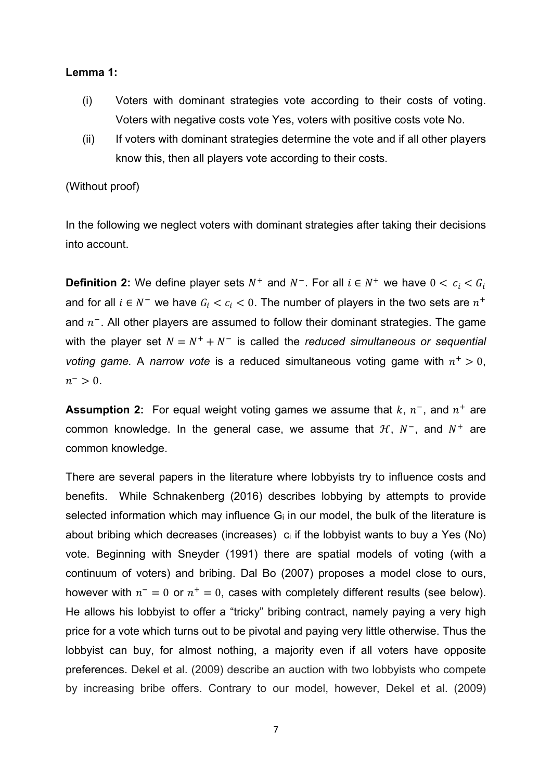#### **Lemma 1:**

- (i) Voters with dominant strategies vote according to their costs of voting. Voters with negative costs vote Yes, voters with positive costs vote No.
- (ii) If voters with dominant strategies determine the vote and if all other players know this, then all players vote according to their costs.

#### (Without proof)

In the following we neglect voters with dominant strategies after taking their decisions into account.

**Definition 2:** We define player sets  $N^+$  and  $N^-$ . For all  $i \in N^+$  we have  $0 < c_i < G_i$ and for all  $i \in N^-$  we have  $G_i < c_i < 0$ . The number of players in the two sets are  $n^+$ and  $n<sup>-</sup>$ . All other players are assumed to follow their dominant strategies. The game with the player set  $N = N^+ + N^-$  is called the *reduced simultaneous or sequential voting game.* A *narrow vote* is a reduced simultaneous voting game with  $n^+ > 0$ ,  $n^{-} > 0$ .

**Assumption 2:** For equal weight voting games we assume that  $k$ ,  $n^{-}$ , and  $n^{+}$  are common knowledge. In the general case, we assume that  $H$ ,  $N^-$ , and  $N^+$  are common knowledge.

There are several papers in the literature where lobbyists try to influence costs and benefits. While Schnakenberg (2016) describes lobbying by attempts to provide selected information which may influence  $G_i$  in our model, the bulk of the literature is about bribing which decreases (increases)  $c_i$  if the lobbyist wants to buy a Yes (No) vote. Beginning with Sneyder (1991) there are spatial models of voting (with a continuum of voters) and bribing. Dal Bo (2007) proposes a model close to ours, however with  $n^- = 0$  or  $n^+ = 0$ , cases with completely different results (see below). He allows his lobbyist to offer a "tricky" bribing contract, namely paying a very high price for a vote which turns out to be pivotal and paying very little otherwise. Thus the lobbyist can buy, for almost nothing, a majority even if all voters have opposite preferences. Dekel et al. (2009) describe an auction with two lobbyists who compete by increasing bribe offers. Contrary to our model, however, Dekel et al. (2009)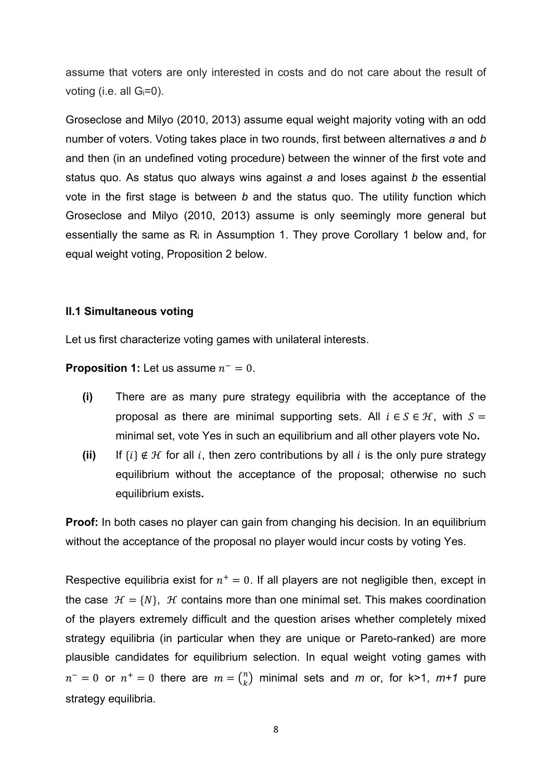assume that voters are only interested in costs and do not care about the result of voting (i.e. all  $G_i=0$ ).

Groseclose and Milyo (2010, 2013) assume equal weight majority voting with an odd number of voters. Voting takes place in two rounds, first between alternatives *a* and *b* and then (in an undefined voting procedure) between the winner of the first vote and status quo. As status quo always wins against *a* and loses against *b* the essential vote in the first stage is between *b* and the status quo. The utility function which Groseclose and Milyo (2010, 2013) assume is only seemingly more general but essentially the same as Ri in Assumption 1. They prove Corollary 1 below and, for equal weight voting, Proposition 2 below.

### **II.1 Simultaneous voting**

Let us first characterize voting games with unilateral interests.

**Proposition 1:** Let us assume  $n^- = 0$ .

- **(i)** There are as many pure strategy equilibria with the acceptance of the proposal as there are minimal supporting sets. All  $i \in S \in \mathcal{H}$ , with  $S =$ minimal set, vote Yes in such an equilibrium and all other players vote No**.**
- **(ii)** If  $\{i\} \notin \mathcal{H}$  for all i, then zero contributions by all i is the only pure strategy equilibrium without the acceptance of the proposal; otherwise no such equilibrium exists**.**

**Proof:** In both cases no player can gain from changing his decision. In an equilibrium without the acceptance of the proposal no player would incur costs by voting Yes.

Respective equilibria exist for  $n^+=0$ . If all players are not negligible then, except in the case  $\mathcal{H} = \{N\}$ ,  $\mathcal{H}$  contains more than one minimal set. This makes coordination of the players extremely difficult and the question arises whether completely mixed strategy equilibria (in particular when they are unique or Pareto-ranked) are more plausible candidates for equilibrium selection. In equal weight voting games with  $n^- = 0$  or  $n^+ = 0$  there are  $m = \binom{n}{k}$  minimal sets and  $m$  or, for k>1,  $m+1$  pure strategy equilibria.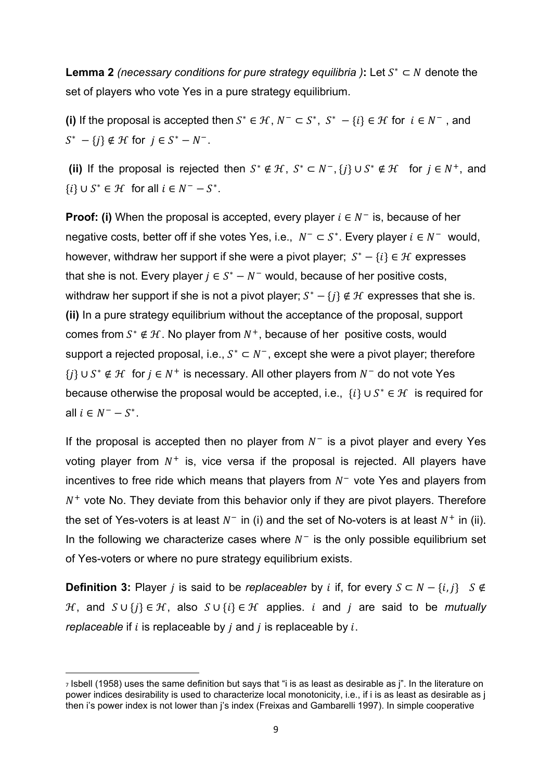**Lemma 2** *(necessary conditions for pure strategy equilibria)***:** Let  $S^* \subset N$  denote the set of players who vote Yes in a pure strategy equilibrium.

**(i)** If the proposal is accepted then  $S^* \in \mathcal{H}$ ,  $N^- \subset S^*$ ,  $S^* - \{i\} \in \mathcal{H}$  for  $i \in N^-$ , and  $S^* - \{i\} \notin \mathcal{H}$  for  $j \in S^* - N^-$ .

**(ii)** If the proposal is rejected then  $S^* \notin \mathcal{H}$ ,  $S^* \subset N^-$ ,  $\{i\} \cup S^* \notin \mathcal{H}$  for  $i \in N^+$ , and  $\{i\} \cup S^* \in \mathcal{H}$  for all  $i \in N^- - S^*$ .

**Proof: (i)** When the proposal is accepted, every player  $i \in N^-$  is, because of her negative costs, better off if she votes Yes, i.e.,  $N^- \subset S^*$ . Every player  $i \in N^-$  would, however, withdraw her support if she were a pivot player;  $S^* - \{i\} \in \mathcal{H}$  expresses that she is not. Every player  $j \in S^* - N^-$  would, because of her positive costs, withdraw her support if she is not a pivot player;  $S^* - \{j\} \notin \mathcal{H}$  expresses that she is. **(ii)** In a pure strategy equilibrium without the acceptance of the proposal, support comes from  $S^* \notin \mathcal{H}$ . No player from  $N^+$ , because of her positive costs, would support a rejected proposal, i.e.,  $S^* \subset N^-$ , except she were a pivot player; therefore  $\{i\} \cup S^* \notin \mathcal{H}$  for  $i \in N^+$  is necessary. All other players from  $N^-$  do not vote Yes because otherwise the proposal would be accepted, i.e.,  $\{i\} \cup S^* \in \mathcal{H}$  is required for all  $i \in N^- - S^*$ .

If the proposal is accepted then no player from  $N^-$  is a pivot player and every Yes voting player from  $N^+$  is, vice versa if the proposal is rejected. All players have incentives to free ride which means that players from  $N^-$  vote Yes and players from  $N^+$  vote No. They deviate from this behavior only if they are pivot players. Therefore the set of Yes-voters is at least  $N^-$  in (i) and the set of No-voters is at least  $N^+$  in (ii). In the following we characterize cases where  $N^-$  is the only possible equilibrium set of Yes-voters or where no pure strategy equilibrium exists.

**Definition 3:** Player *i* is said to be *replaceabler* by *i* if, for every  $S \subset N - \{i, j\}$   $S \notin$ *H*, and  $S \cup \{j\} \in H$ , also  $S \cup \{i\} \in H$  applies. *i* and *j* are said to be *mutually replaceable* if  $i$  is replaceable by  $j$  and  $j$  is replaceable by  $i$ .

<sup>7</sup> Isbell (1958) uses the same definition but says that "i is as least as desirable as j". In the literature on power indices desirability is used to characterize local monotonicity, i.e., if i is as least as desirable as j then i's power index is not lower than j's index (Freixas and Gambarelli 1997). In simple cooperative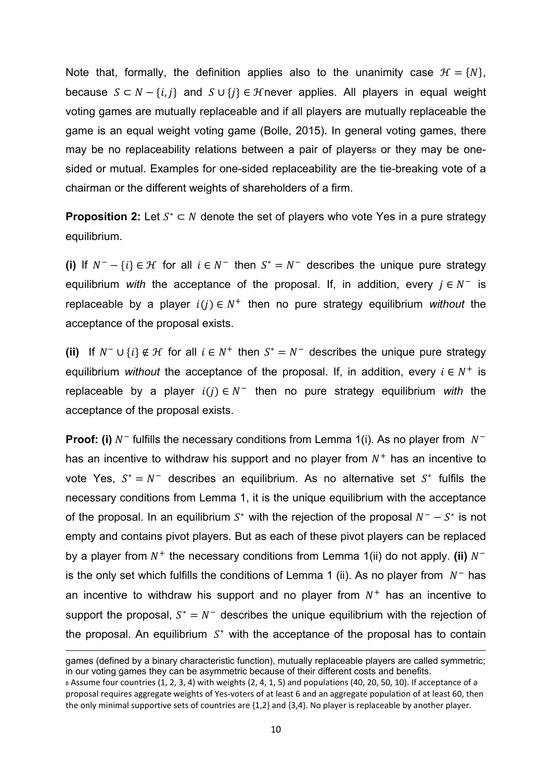Note that, formally, the definition applies also to the unanimity case  $\mathcal{H} = \{N\},\$ because  $S \subset N - \{i, j\}$  and  $S \cup \{j\} \in \mathcal{H}$ never applies. All players in equal weight voting games are mutually replaceable and if all players are mutually replaceable the game is an equal weight voting game (Bolle, 2015). In general voting games, there may be no replaceability relations between a pair of players or they may be onesided or mutual. Examples for one-sided replaceability are the tie-breaking vote of a chairman or the different weights of shareholders of a firm.

**Proposition 2:** Let  $S^* \subset N$  denote the set of players who vote Yes in a pure strategy equilibrium.

(i) If  $N^- - \{i\} \in \mathcal{H}$  for all  $i \in N^-$  then  $S^* = N^-$  describes the unique pure strategy equilibrium *with* the acceptance of the proposal. If, in addition, every  $j \in N^-$  is replaceable by a player  $i(j) \in N^+$  then no pure strategy equilibrium *without* the acceptance of the proposal exists.

**(ii)** If  $N^- \cup \{i\} \notin \mathcal{H}$  for all  $i \in N^+$  then  $S^* = N^-$  describes the unique pure strategy equilibrium *without* the acceptance of the proposal. If, in addition, every  $i \in N^+$  is replaceable by a player  $i(j) \in N^-$  then no pure strategy equilibrium *with* the acceptance of the proposal exists.

**Proof: (i)**  $N^-$  fulfills the necessary conditions from Lemma 1(i). As no player from  $N^$ has an incentive to withdraw his support and no player from  $N^+$  has an incentive to vote Yes,  $S^* = N^-$  describes an equilibrium. As no alternative set  $S^*$  fulfils the necessary conditions from Lemma 1, it is the unique equilibrium with the acceptance of the proposal. In an equilibrium  $S^*$  with the rejection of the proposal  $N^- - S^*$  is not empty and contains pivot players. But as each of these pivot players can be replaced by a player from  $N^+$  the necessary conditions from Lemma 1(ii) do not apply. **(ii)**  $N^$ is the only set which fulfills the conditions of Lemma 1 (ii). As no player from  $N^-$  has an incentive to withdraw his support and no player from  $N^+$  has an incentive to support the proposal,  $S^* = N^-$  describes the unique equilibrium with the rejection of the proposal. An equilibrium  $S^*$  with the acceptance of the proposal has to contain

<sup>&</sup>lt;u> Andreas Andrews Andrews Andrews Andrews Andrews Andrews Andrews Andrews Andrews Andrews Andrews Andrews Andr</u> games (defined by a binary characteristic function), mutually replaceable players are called symmetric; in our voting games they can be asymmetric because of their different costs and benefits.

<sup>8</sup> Assume four countries (1, 2, 3, 4) with weights (2, 4, 1, 5) and populations (40, 20, 50, 10). If acceptance of a proposal requires aggregate weights of Yes-voters of at least 6 and an aggregate population of at least 60, then the only minimal supportive sets of countries are {1,2} and {3,4}. No player is replaceable by another player.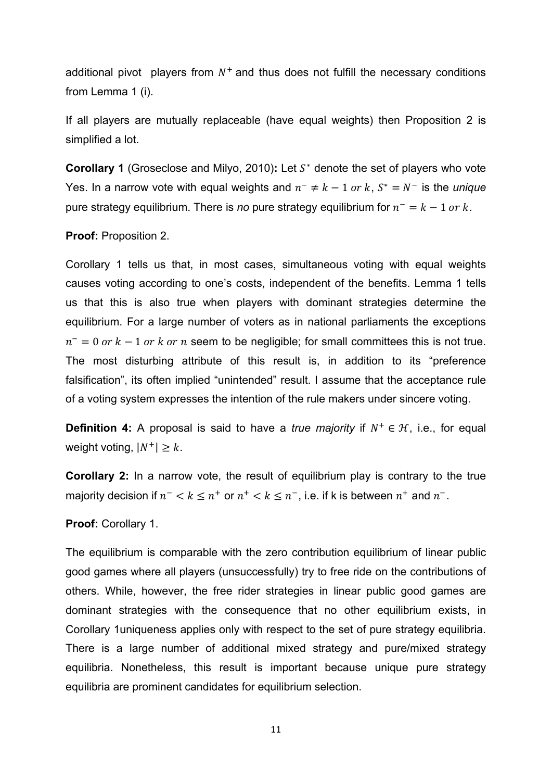additional pivot players from  $N^+$  and thus does not fulfill the necessary conditions from Lemma 1 (i).

If all players are mutually replaceable (have equal weights) then Proposition 2 is simplified a lot.

**Corollary 1** (Groseclose and Milyo, 2010); Let S<sup>\*</sup> denote the set of players who vote Yes. In a narrow vote with equal weights and  $n^- \neq k - 1$  or k,  $S^* = N^-$  is the *unique* pure strategy equilibrium. There is *no* pure strategy equilibrium for  $n^- = k - 1$  or k.

#### **Proof:** Proposition 2.

Corollary 1 tells us that, in most cases, simultaneous voting with equal weights causes voting according to one's costs, independent of the benefits. Lemma 1 tells us that this is also true when players with dominant strategies determine the equilibrium. For a large number of voters as in national parliaments the exceptions  $n^- = 0$  or  $k - 1$  or k or n seem to be negligible; for small committees this is not true. The most disturbing attribute of this result is, in addition to its "preference falsification", its often implied "unintended" result. I assume that the acceptance rule of a voting system expresses the intention of the rule makers under sincere voting.

**Definition 4:** A proposal is said to have a *true majority* if  $N^+ \in \mathcal{H}$ , i.e., for equal weight voting,  $|N^+| \geq k$ .

**Corollary 2:** In a narrow vote, the result of equilibrium play is contrary to the true majority decision if  $n^- < k \leq n^+$  or  $n^+ < k \leq n^-$ , i.e. if k is between  $n^+$  and  $n^-$ .

#### **Proof:** Corollary 1.

The equilibrium is comparable with the zero contribution equilibrium of linear public good games where all players (unsuccessfully) try to free ride on the contributions of others. While, however, the free rider strategies in linear public good games are dominant strategies with the consequence that no other equilibrium exists, in Corollary 1uniqueness applies only with respect to the set of pure strategy equilibria. There is a large number of additional mixed strategy and pure/mixed strategy equilibria. Nonetheless, this result is important because unique pure strategy equilibria are prominent candidates for equilibrium selection.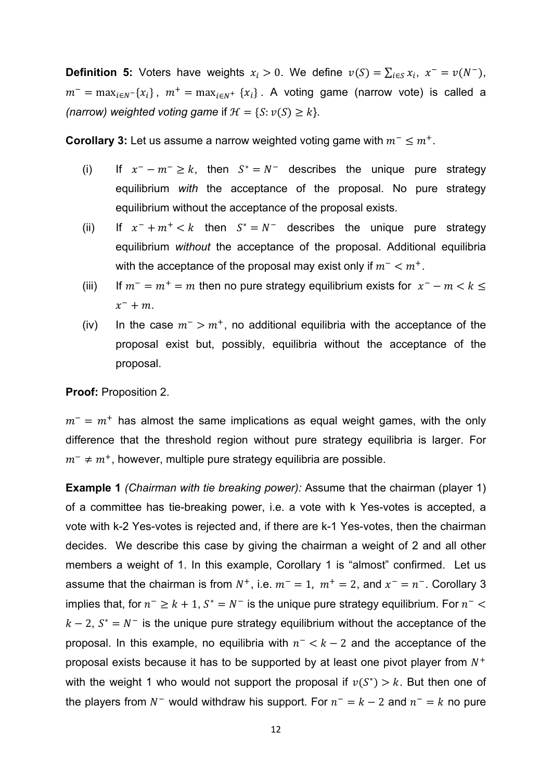**Definition 5:** Voters have weights  $x_i > 0$ . We define  $v(S) = \sum_{i \in S} x_i$ ,  $x^- = v(N^-)$ ,  $m^-$  = max<sub>iEN</sub>-{x<sub>i</sub>},  $m^+$  = max<sub>iEN</sub>+ {x<sub>i</sub>}. A voting game (narrow vote) is called a *(narrow)* weighted voting game if  $H = \{S : \nu(S) \geq k\}.$ 

**Corollary 3:** Let us assume a narrow weighted voting game with  $m^- \leq m^+$ .

- (i) If  $x^- m^- \ge k$ , then  $S^* = N^-$  describes the unique pure strategy equilibrium *with* the acceptance of the proposal. No pure strategy equilibrium without the acceptance of the proposal exists.
- (ii) If  $x^- + m^+ < k$  then  $S^* = N^-$  describes the unique pure strategy equilibrium *without* the acceptance of the proposal. Additional equilibria with the acceptance of the proposal may exist only if  $m^- < m^+$ .
- (iii) If  $m^- = m^+ = m$  then no pure strategy equilibrium exists for  $x^- m < k \leq$  $x^- + m$ .
- (iv) In the case  $m^{-} > m^{+}$ , no additional equilibria with the acceptance of the proposal exist but, possibly, equilibria without the acceptance of the proposal.

**Proof:** Proposition 2.

 $m^{-}$  =  $m^{+}$  has almost the same implications as equal weight games, with the only difference that the threshold region without pure strategy equilibria is larger. For  $m^{-} \neq m^{+}$ , however, multiple pure strategy equilibria are possible.

**Example 1** *(Chairman with tie breaking power):* Assume that the chairman (player 1) of a committee has tie-breaking power, i.e. a vote with k Yes-votes is accepted, a vote with k-2 Yes-votes is rejected and, if there are k-1 Yes-votes, then the chairman decides. We describe this case by giving the chairman a weight of 2 and all other members a weight of 1. In this example, Corollary 1 is "almost" confirmed. Let us assume that the chairman is from  $N^+$ , i.e.  $m^- = 1$ ,  $m^+ = 2$ , and  $x^- = n^-$ . Corollary 3 implies that, for  $n^- \geq k+1$ ,  $S^* = N^-$  is the unique pure strategy equilibrium. For  $n^ <$  $k-2$ ,  $S^* = N^-$  is the unique pure strategy equilibrium without the acceptance of the proposal. In this example, no equilibria with  $n^- < k - 2$  and the acceptance of the proposal exists because it has to be supported by at least one pivot player from  $N^+$ with the weight 1 who would not support the proposal if  $v(S^*) > k$ . But then one of the players from  $N^-$  would withdraw his support. For  $n^- = k - 2$  and  $n^- = k$  no pure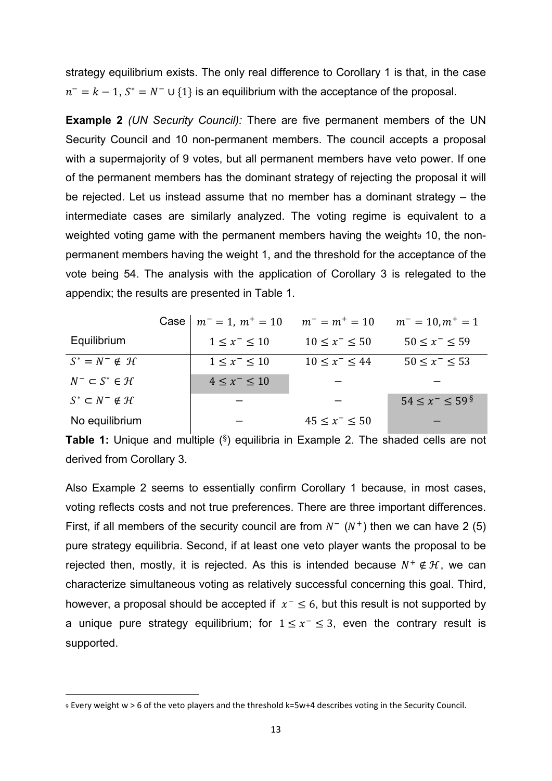strategy equilibrium exists. The only real difference to Corollary 1 is that, in the case  $n^- = k - 1$ ,  $S^* = N^- \cup \{1\}$  is an equilibrium with the acceptance of the proposal.

**Example 2** *(UN Security Council):* There are five permanent members of the UN Security Council and 10 non-permanent members. The council accepts a proposal with a supermajority of 9 votes, but all permanent members have veto power. If one of the permanent members has the dominant strategy of rejecting the proposal it will be rejected. Let us instead assume that no member has a dominant strategy – the intermediate cases are similarly analyzed. The voting regime is equivalent to a weighted voting game with the permanent members having the weights 10, the nonpermanent members having the weight 1, and the threshold for the acceptance of the vote being 54. The analysis with the application of Corollary 3 is relegated to the appendix; the results are presented in Table 1.

|                                      | Case $m^- = 1$ , $m^+ = 10$ | $m^- = m^+ = 10$      | $m^- = 10, m^+ = 1$                 |
|--------------------------------------|-----------------------------|-----------------------|-------------------------------------|
| Equilibrium                          | $1 \le x^- \le 10$          | $10 \le x^- \le 50$   | $50 \le x^- \le 59$                 |
| $S^* = N^- \notin \mathcal{H}$       | $1 \leq x^- \leq 10$        | $10 \leq x^- \leq 44$ | $50 \le x^- \le 53$                 |
| $N^- \subset S^* \in \mathcal{H}$    | $4 \leq x^- \leq 10$        |                       |                                     |
| $S^* \subset N^- \notin \mathcal{H}$ |                             |                       | $54 \leq x^- \leq 59^{\frac{8}{5}}$ |
| No equilibrium                       |                             | $45 \leq x^- \leq 50$ |                                     |

**Table 1:** Unique and multiple (§) equilibria in Example 2. The shaded cells are not derived from Corollary 3.

Also Example 2 seems to essentially confirm Corollary 1 because, in most cases, voting reflects costs and not true preferences. There are three important differences. First, if all members of the security council are from  $N^-(N^+)$  then we can have 2 (5) pure strategy equilibria. Second, if at least one veto player wants the proposal to be rejected then, mostly, it is rejected. As this is intended because  $N^+ \notin \mathcal{H}$ , we can characterize simultaneous voting as relatively successful concerning this goal. Third, however, a proposal should be accepted if  $x^- \le 6$ , but this result is not supported by a unique pure strategy equilibrium; for  $1 \le x^- \le 3$ , even the contrary result is supported.

<sup>9</sup> Every weight w > 6 of the veto players and the threshold k=5w+4 describes voting in the Security Council.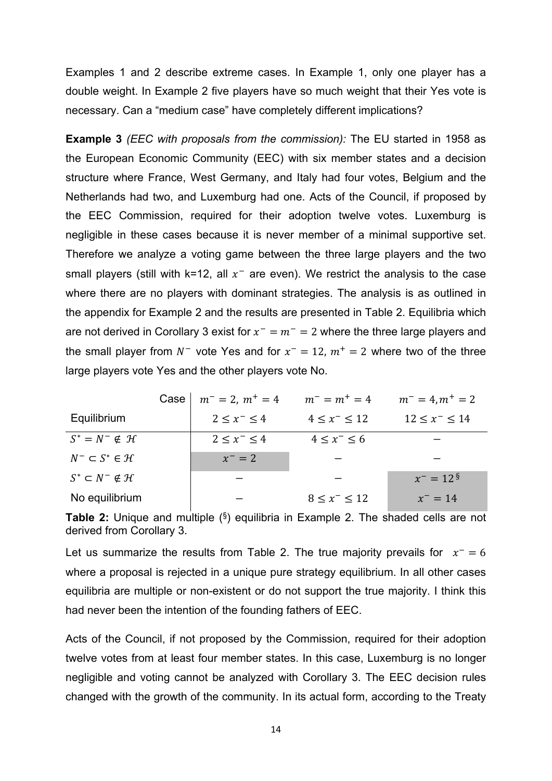Examples 1 and 2 describe extreme cases. In Example 1, only one player has a double weight. In Example 2 five players have so much weight that their Yes vote is necessary. Can a "medium case" have completely different implications?

**Example 3** *(EEC with proposals from the commission):* The EU started in 1958 as the European Economic Community (EEC) with six member states and a decision structure where France, West Germany, and Italy had four votes, Belgium and the Netherlands had two, and Luxemburg had one. Acts of the Council, if proposed by the EEC Commission, required for their adoption twelve votes. Luxemburg is negligible in these cases because it is never member of a minimal supportive set. Therefore we analyze a voting game between the three large players and the two small players (still with k=12, all  $x^-$  are even). We restrict the analysis to the case where there are no players with dominant strategies. The analysis is as outlined in the appendix for Example 2 and the results are presented in Table 2. Equilibria which are not derived in Corollary 3 exist for  $x^- = m^- = 2$  where the three large players and the small player from  $N^-$  vote Yes and for  $x^- = 12$ ,  $m^+ = 2$  where two of the three large players vote Yes and the other players vote No.

|                                      | Case | $m^- = 2$ , $m^+ = 4$ | $m^- = m^+ = 4$      | $m^- = 4, m^+ = 2$       |
|--------------------------------------|------|-----------------------|----------------------|--------------------------|
| Equilibrium                          |      | $2 \leq x^- \leq 4$   | $4 \leq x^- \leq 12$ | $12 \le x^- \le 14$      |
| $S^* = N^- \notin \mathcal{H}$       |      | $2 < x^- < 4$         | $4 \leq x^- \leq 6$  |                          |
| $N^- \subset S^* \in \mathcal{H}$    |      | $x^{-} = 2$           |                      |                          |
| $S^* \subset N^- \notin \mathcal{H}$ |      |                       |                      | $x^- = 12^{\frac{5}{3}}$ |
| No equilibrium                       |      |                       | $8 < x^- < 12$       | $x^- = 14$               |

**Table 2:** Unique and multiple (§) equilibria in Example 2. The shaded cells are not derived from Corollary 3.

Let us summarize the results from Table 2. The true majority prevails for  $x^- = 6$ where a proposal is rejected in a unique pure strategy equilibrium. In all other cases equilibria are multiple or non-existent or do not support the true majority. I think this had never been the intention of the founding fathers of EEC.

Acts of the Council, if not proposed by the Commission, required for their adoption twelve votes from at least four member states. In this case, Luxemburg is no longer negligible and voting cannot be analyzed with Corollary 3. The EEC decision rules changed with the growth of the community. In its actual form, according to the Treaty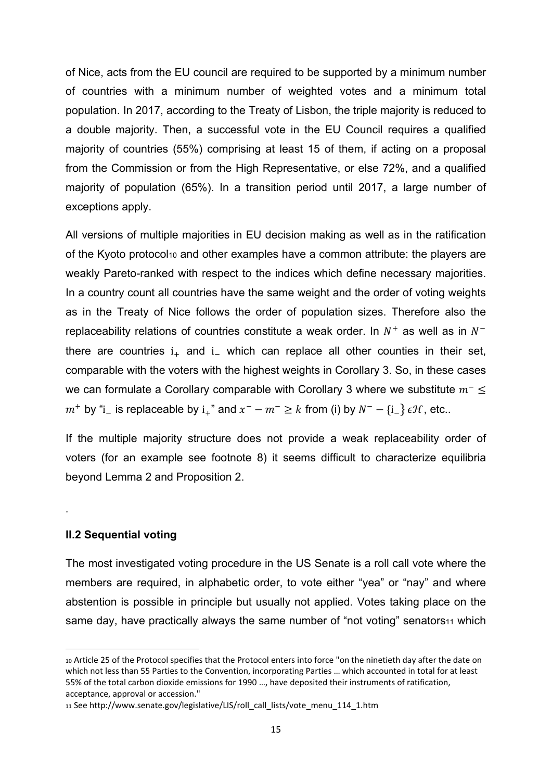of Nice, acts from the EU council are required to be supported by a minimum number of countries with a minimum number of weighted votes and a minimum total population. In 2017, according to the Treaty of Lisbon, the triple majority is reduced to a double majority. Then, a successful vote in the EU Council requires a qualified majority of countries (55%) comprising at least 15 of them, if acting on a proposal from the Commission or from the High Representative, or else 72%, and a qualified majority of population (65%). In a transition period until 2017, a large number of exceptions apply.

All versions of multiple majorities in EU decision making as well as in the ratification of the Kyoto protocol10 and other examples have a common attribute: the players are weakly Pareto-ranked with respect to the indices which define necessary majorities. In a country count all countries have the same weight and the order of voting weights as in the Treaty of Nice follows the order of population sizes. Therefore also the replaceability relations of countries constitute a weak order. In  $N^+$  as well as in  $N^$ there are countries  $i_{+}$  and  $i_{-}$  which can replace all other counties in their set, comparable with the voters with the highest weights in Corollary 3. So, in these cases we can formulate a Corollary comparable with Corollary 3 where we substitute  $m^- \leq$  $m^+$  by "i\_ is replaceable by i<sub>+</sub>" and  $x^- - m^- \geq k$  from (i) by  $N^- - \{i_-\}\in \mathcal{H}$ , etc..

If the multiple majority structure does not provide a weak replaceability order of voters (for an example see footnote 8) it seems difficult to characterize equilibria beyond Lemma 2 and Proposition 2.

## **II.2 Sequential voting**

.

The most investigated voting procedure in the US Senate is a roll call vote where the members are required, in alphabetic order, to vote either "yea" or "nay" and where abstention is possible in principle but usually not applied. Votes taking place on the same day, have practically always the same number of "not voting" senators11 which

<sup>10</sup> Article 25 of the Protocol specifies that the Protocol enters into force "on the ninetieth day after the date on which not less than 55 Parties to the Convention, incorporating Parties … which accounted in total for at least 55% of the total carbon dioxide emissions for 1990 …, have deposited their instruments of ratification, acceptance, approval or accession."

<sup>11</sup> See http://www.senate.gov/legislative/LIS/roll\_call\_lists/vote\_menu\_114\_1.htm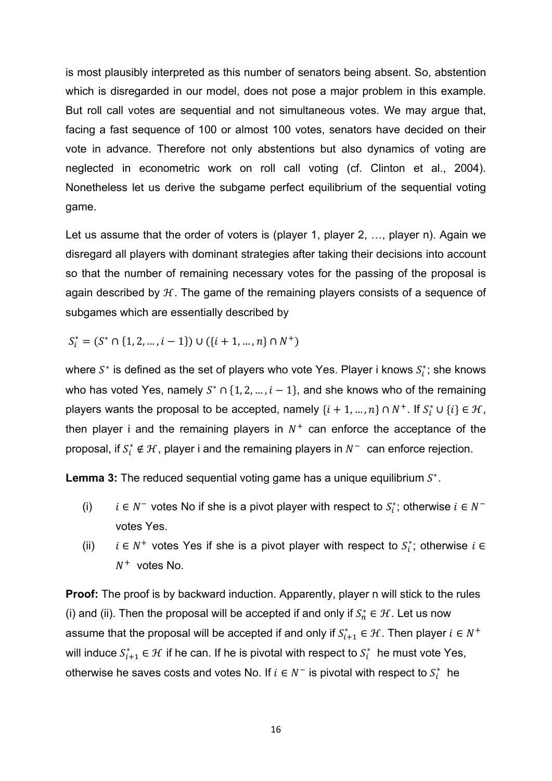is most plausibly interpreted as this number of senators being absent. So, abstention which is disregarded in our model, does not pose a major problem in this example. But roll call votes are sequential and not simultaneous votes. We may argue that, facing a fast sequence of 100 or almost 100 votes, senators have decided on their vote in advance. Therefore not only abstentions but also dynamics of voting are neglected in econometric work on roll call voting (cf. Clinton et al., 2004). Nonetheless let us derive the subgame perfect equilibrium of the sequential voting game.

Let us assume that the order of voters is (player 1, player 2, ..., player n). Again we disregard all players with dominant strategies after taking their decisions into account so that the number of remaining necessary votes for the passing of the proposal is again described by  $H$ . The game of the remaining players consists of a sequence of subgames which are essentially described by

$$
S_i^* = (S^* \cap \{1, 2, \dots, i-1\}) \cup (\{i+1, \dots, n\} \cap N^+)
$$

where  $S^*$  is defined as the set of players who vote Yes. Player i knows  $S_i^*$ ; she knows who has voted Yes, namely  $S^* \cap \{1, 2, ..., i-1\}$ , and she knows who of the remaining players wants the proposal to be accepted, namely  $\{i+1, ..., n\} \cap N^+$ . If  $S_i^* \cup \{i\} \in \mathcal{H}$ , then player i and the remaining players in  $N^+$  can enforce the acceptance of the proposal, if  $S_i^* \notin \mathcal{H}$ , player i and the remaining players in  $N^-$  can enforce rejection.

**Lemma 3:** The reduced sequential voting game has a unique equilibrium  $S^*$ .

- (i)  $i \in N^-$  votes No if she is a pivot player with respect to  $S_i^*$ ; otherwise  $i \in N^$ votes Yes.
- (ii)  $i \in N^+$  votes Yes if she is a pivot player with respect to  $S_i^*$ ; otherwise  $i \in$  $N^+$  votes No.

**Proof:** The proof is by backward induction. Apparently, player n will stick to the rules (i) and (ii). Then the proposal will be accepted if and only if  $S_n^* \in \mathcal{H}$ . Let us now assume that the proposal will be accepted if and only if  $S^*_{i+1} \in \mathcal{H}$  . Then player  $i \in N^+$ will induce  $S_{i+1}^* \in \mathcal{H}$  if he can. If he is pivotal with respect to  $S_i^*$  he must vote Yes, otherwise he saves costs and votes No. If  $i \in N^-$  is pivotal with respect to  $S_i^*$  he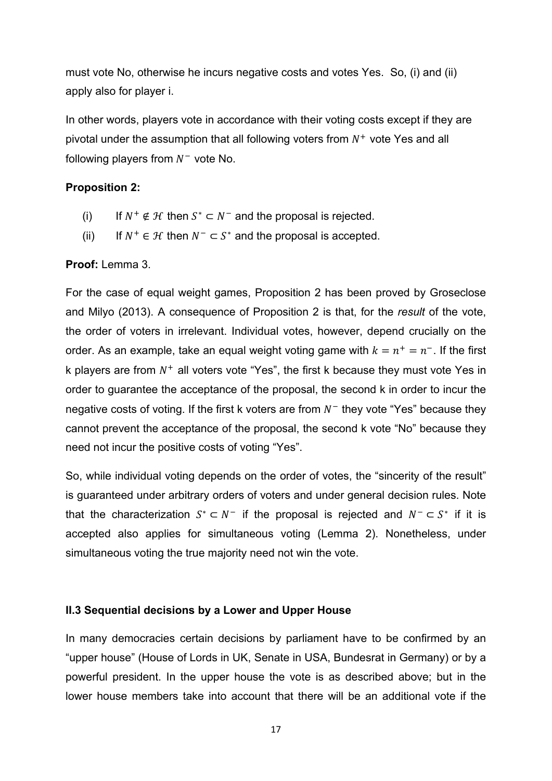must vote No, otherwise he incurs negative costs and votes Yes. So, (i) and (ii) apply also for player i.

In other words, players vote in accordance with their voting costs except if they are pivotal under the assumption that all following voters from  $N^+$  vote Yes and all following players from  $N^-$  vote No.

## **Proposition 2:**

- (i) If  $N^+ \notin \mathcal{H}$  then  $S^* \subset N^-$  and the proposal is rejected.
- (ii) If  $N^+ \in \mathcal{H}$  then  $N^- \subset S^*$  and the proposal is accepted.

#### **Proof:** Lemma 3.

For the case of equal weight games, Proposition 2 has been proved by Groseclose and Milyo (2013). A consequence of Proposition 2 is that, for the *result* of the vote, the order of voters in irrelevant. Individual votes, however, depend crucially on the order. As an example, take an equal weight voting game with  $k = n^+ = n^-$ . If the first k players are from  $N^+$  all voters vote "Yes", the first k because they must vote Yes in order to guarantee the acceptance of the proposal, the second k in order to incur the negative costs of voting. If the first k voters are from  $N^-$  they vote "Yes" because they cannot prevent the acceptance of the proposal, the second k vote "No" because they need not incur the positive costs of voting "Yes".

So, while individual voting depends on the order of votes, the "sincerity of the result" is guaranteed under arbitrary orders of voters and under general decision rules. Note that the characterization  $S^* \subset N^-$  if the proposal is rejected and  $N^- \subset S^*$  if it is accepted also applies for simultaneous voting (Lemma 2). Nonetheless, under simultaneous voting the true majority need not win the vote.

#### **II.3 Sequential decisions by a Lower and Upper House**

In many democracies certain decisions by parliament have to be confirmed by an "upper house" (House of Lords in UK, Senate in USA, Bundesrat in Germany) or by a powerful president. In the upper house the vote is as described above; but in the lower house members take into account that there will be an additional vote if the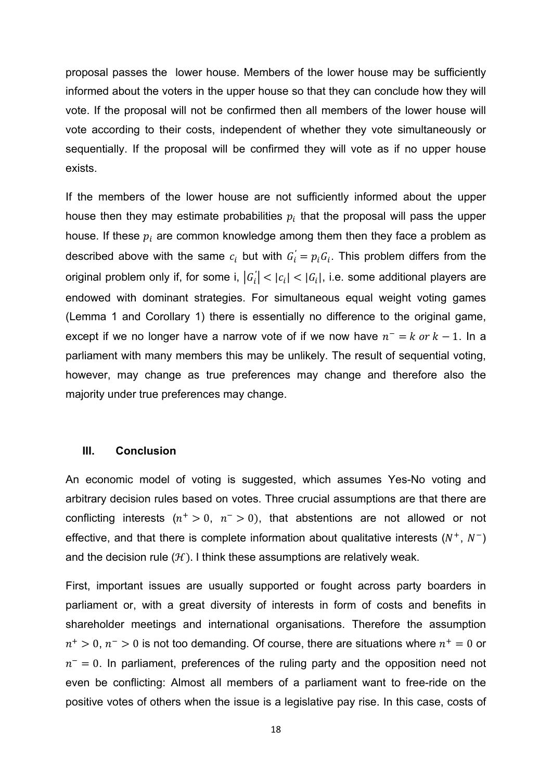proposal passes the lower house. Members of the lower house may be sufficiently informed about the voters in the upper house so that they can conclude how they will vote. If the proposal will not be confirmed then all members of the lower house will vote according to their costs, independent of whether they vote simultaneously or sequentially. If the proposal will be confirmed they will vote as if no upper house exists.

If the members of the lower house are not sufficiently informed about the upper house then they may estimate probabilities  $p_i$  that the proposal will pass the upper house. If these  $p_i$  are common knowledge among them then they face a problem as described above with the same  $c_i$  but with  $G_i^{'} = p_i G_i$ . This problem differs from the original problem only if, for some i,  $\left|G_{i}\right|<\left|c_{i}\right|<\left|G_{i}\right|$ , i.e. some additional players are *′* endowed with dominant strategies. For simultaneous equal weight voting games (Lemma 1 and Corollary 1) there is essentially no difference to the original game, except if we no longer have a narrow vote of if we now have  $n^- = k$  or  $k - 1$ . In a parliament with many members this may be unlikely. The result of sequential voting, however, may change as true preferences may change and therefore also the majority under true preferences may change.

#### **III. Conclusion**

An economic model of voting is suggested, which assumes Yes-No voting and arbitrary decision rules based on votes. Three crucial assumptions are that there are conflicting interests  $(n^+ > 0, n^- > 0)$ , that abstentions are not allowed or not effective, and that there is complete information about qualitative interests  $(N^+, N^-)$ and the decision rule  $(H)$ . I think these assumptions are relatively weak.

First, important issues are usually supported or fought across party boarders in parliament or, with a great diversity of interests in form of costs and benefits in shareholder meetings and international organisations. Therefore the assumption  $n^+ > 0$ ,  $n^- > 0$  is not too demanding. Of course, there are situations where  $n^+ = 0$  or  $n<sup>-</sup> = 0$ . In parliament, preferences of the ruling party and the opposition need not even be conflicting: Almost all members of a parliament want to free-ride on the positive votes of others when the issue is a legislative pay rise. In this case, costs of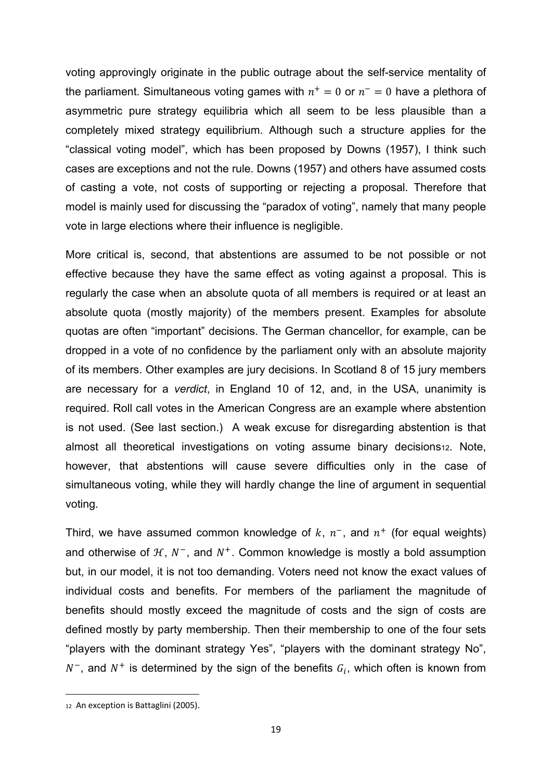voting approvingly originate in the public outrage about the self-service mentality of the parliament. Simultaneous voting games with  $n^+=0$  or  $n^-=0$  have a plethora of asymmetric pure strategy equilibria which all seem to be less plausible than a completely mixed strategy equilibrium. Although such a structure applies for the "classical voting model", which has been proposed by Downs (1957), I think such cases are exceptions and not the rule. Downs (1957) and others have assumed costs of casting a vote, not costs of supporting or rejecting a proposal. Therefore that model is mainly used for discussing the "paradox of voting", namely that many people vote in large elections where their influence is negligible.

More critical is, second, that abstentions are assumed to be not possible or not effective because they have the same effect as voting against a proposal. This is regularly the case when an absolute quota of all members is required or at least an absolute quota (mostly majority) of the members present. Examples for absolute quotas are often "important" decisions. The German chancellor, for example, can be dropped in a vote of no confidence by the parliament only with an absolute majority of its members. Other examples are jury decisions. In Scotland 8 of 15 jury members are necessary for a *verdict*, in England 10 of 12, and, in the USA, unanimity is required. Roll call votes in the American Congress are an example where abstention is not used. (See last section.) A weak excuse for disregarding abstention is that almost all theoretical investigations on voting assume binary decisions<sup>12</sup>. Note, however, that abstentions will cause severe difficulties only in the case of simultaneous voting, while they will hardly change the line of argument in sequential voting.

Third, we have assumed common knowledge of  $k$ ,  $n^{-}$ , and  $n^{+}$  (for equal weights) and otherwise of  $H$ ,  $N^-$ , and  $N^+$ . Common knowledge is mostly a bold assumption but, in our model, it is not too demanding. Voters need not know the exact values of individual costs and benefits. For members of the parliament the magnitude of benefits should mostly exceed the magnitude of costs and the sign of costs are defined mostly by party membership. Then their membership to one of the four sets "players with the dominant strategy Yes", "players with the dominant strategy No",  $N^-$ , and  $N^+$  is determined by the sign of the benefits  $G_i$ , which often is known from

 12 An exception is Battaglini (2005).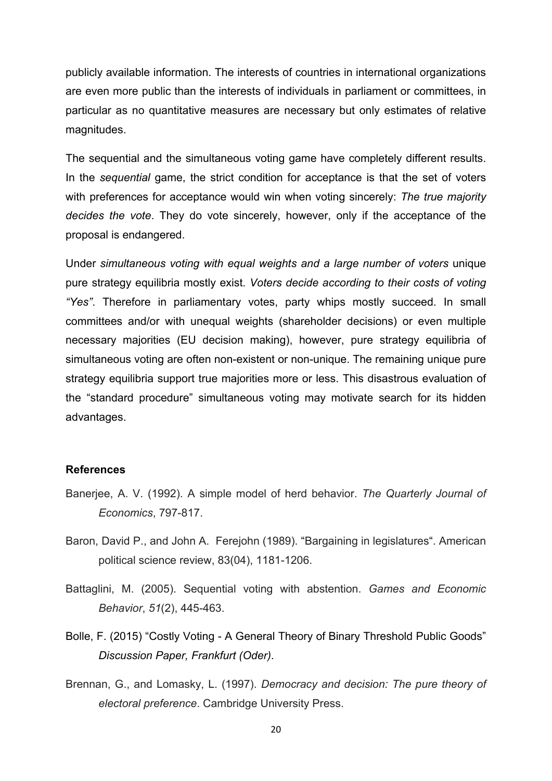publicly available information. The interests of countries in international organizations are even more public than the interests of individuals in parliament or committees, in particular as no quantitative measures are necessary but only estimates of relative magnitudes.

The sequential and the simultaneous voting game have completely different results. In the *sequential* game, the strict condition for acceptance is that the set of voters with preferences for acceptance would win when voting sincerely: *The true majority decides the vote*. They do vote sincerely, however, only if the acceptance of the proposal is endangered.

Under *simultaneous voting with equal weights and a large number of voters* unique pure strategy equilibria mostly exist. *Voters decide according to their costs of voting "Yes"*. Therefore in parliamentary votes, party whips mostly succeed. In small committees and/or with unequal weights (shareholder decisions) or even multiple necessary majorities (EU decision making), however, pure strategy equilibria of simultaneous voting are often non-existent or non-unique. The remaining unique pure strategy equilibria support true majorities more or less. This disastrous evaluation of the "standard procedure" simultaneous voting may motivate search for its hidden advantages.

#### **References**

- Banerjee, A. V. (1992). A simple model of herd behavior. *The Quarterly Journal of Economics*, 797-817.
- Baron, David P., and John A. Ferejohn (1989). "Bargaining in legislatures". American political science review, 83(04), 1181-1206.
- Battaglini, M. (2005). Sequential voting with abstention. *Games and Economic Behavior*, *51*(2), 445-463.
- Bolle, F. (2015) "Costly Voting A General Theory of Binary Threshold Public Goods" *Discussion Paper, Frankfurt (Oder)*.
- Brennan, G., and Lomasky, L. (1997). *Democracy and decision: The pure theory of electoral preference*. Cambridge University Press.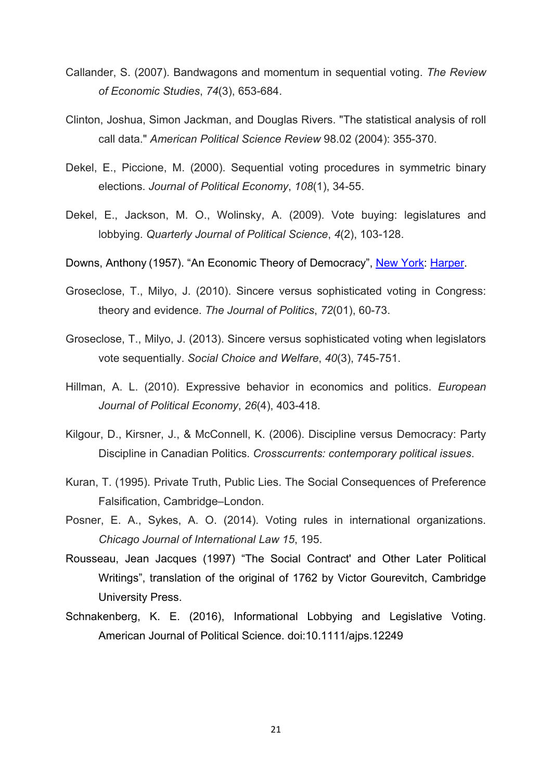- Callander, S. (2007). Bandwagons and momentum in sequential voting. *The Review of Economic Studies*, *74*(3), 653-684.
- Clinton, Joshua, Simon Jackman, and Douglas Rivers. "The statistical analysis of roll call data." *American Political Science Review* 98.02 (2004): 355-370.
- Dekel, E., Piccione, M. (2000). Sequential voting procedures in symmetric binary elections. *Journal of Political Economy*, *108*(1), 34-55.
- Dekel, E., Jackson, M. O., Wolinsky, A. (2009). Vote buying: legislatures and lobbying. *Quarterly Journal of Political Science*, *4*(2), 103-128.
- Downs, Anthony (1957). "An Economic Theory of Democracy", New York: Harper.
- Groseclose, T., Milyo, J. (2010). Sincere versus sophisticated voting in Congress: theory and evidence. *The Journal of Politics*, *72*(01), 60-73.
- Groseclose, T., Milyo, J. (2013). Sincere versus sophisticated voting when legislators vote sequentially. *Social Choice and Welfare*, *40*(3), 745-751.
- Hillman, A. L. (2010). Expressive behavior in economics and politics. *European Journal of Political Economy*, *26*(4), 403-418.
- Kilgour, D., Kirsner, J., & McConnell, K. (2006). Discipline versus Democracy: Party Discipline in Canadian Politics. *Crosscurrents: contemporary political issues*.
- Kuran, T. (1995). Private Truth, Public Lies. The Social Consequences of Preference Falsification, Cambridge–London.
- Posner, E. A., Sykes, A. O. (2014). Voting rules in international organizations. *Chicago Journal of International Law 15*, 195.
- Rousseau, Jean Jacques (1997) "The Social Contract' and Other Later Political Writings", translation of the original of 1762 by Victor Gourevitch, Cambridge University Press.
- Schnakenberg, K. E. (2016), Informational Lobbying and Legislative Voting. American Journal of Political Science. doi:10.1111/ajps.12249